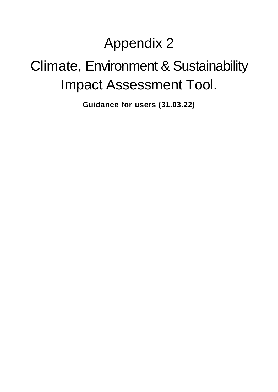# Appendix 2

# Climate, Environment & Sustainability Impact Assessment Tool.

**Guidance for users (31.03.22)**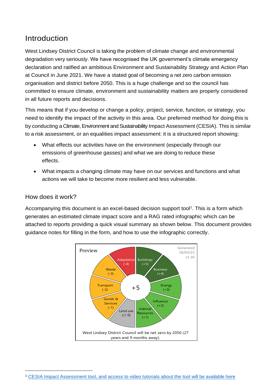# Introduction

West Lindsey District Council is taking the problem of climate change and environmental degradation very seriously. We have recognised the UK government's climate emergency declaration and ratified an ambitious Environment and Sustainability Strategy and Action Plan at Council in June 2021. We have a stated goal of becoming a net zero carbon emission organisation and district before 2050. This is a huge challenge and so the council has committed to ensure climate, environment and sustainability matters are properly considered in all future reports and decisions.

This means that if you develop or change a policy, project, service, function, or strategy, you need to identify the impact of the activity in this area. Our preferred method for doing this is by conducting a Climate, Environment and Sustainability Impact Assessment (CESIA). This is similar to a risk assessment, or an equalities impact assessment: it is a structured report showing:

- What effects our activities have on the environment (especially through our emissions of greenhouse gasses) and what we are doing to reduce these effects.
- What impacts a changing climate may have on our services and functions and what actions we will take to become more resilient and less vulnerable.

### How does it work?

Accompanying this document is an excel-based decision support tool<sup>1</sup>. This is a form which generates an estimated climate impact score and a RAG rated infographic which can be attached to reports providing a quick visual summary as shown below. This document provides guidance notes for filling in the form, and how to use the infographic correctly.



<sup>1</sup> CESIA Impact Assessment tool, and access to video tutorials about the tool will be available here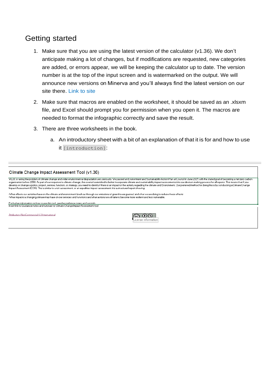## Getting started

- 1. Make sure that you are using the latest version of the calculator (v1.36). We don't anticipate making a lot of changes, but if modifications are requested, new categories are added, or errors appear, we will be keeping the calculator up to date. The version number is at the top of the input screen and is watermarked on the output. We will announce new versions on Minerva and you'll always find the latest version on our site there. Link to site
- 2. Make sure that macros are enabled on the worksheet, it should be saved as an .xlsxm file, and Excel should prompt you for permission when you open it. The macros are needed to format the infographic correctly and save the result.
- 3. There are three worksheets in the book.
	- a. An introductory sheet with a bit of an explanation of that it is for and how to use it [introduction]:

#### Climate Change Impact Assessment Tool (v1.36)

WLUC is taking the problem of olimate change and wider environmental degradation very seriously. We passed an Environment and Sustainability Action Plan at Council in June 2021, with the stated goal of becoming a net zero news were not all the set of our response to climate change, the council committed to better incorporate climate and sustainability impact assessments into our decision making process for all reports. This means that if yo ·What effects our activities have on the climate and environment (such as through our emissions of greenhouse gasses) and what we are doing to reduce these effects<br>·What impacts a changing climate may have on our services For further information on how to use this tool, see the quidance notes and tutorials.<br>Insert link to Guidance notes and tutorials for Climate Change Impact Assessment tool Attribution-NonCommercial 4.0 International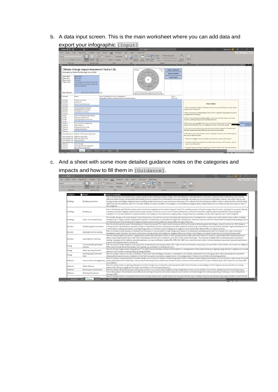b. A data input screen. This is the main worksheet where you can add data and  $\frac{1}{2}$  export your infographic  $\frac{1}{2}$ 

| AutoSave ( Or)                         | 回:                                                         | Climate Change Impact Assessment Tool 1.35 xlsm. +                 | O Search                                                                                                       |                                                                                      | <b>William Rolls</b>                                                                         | a                   |
|----------------------------------------|------------------------------------------------------------|--------------------------------------------------------------------|----------------------------------------------------------------------------------------------------------------|--------------------------------------------------------------------------------------|----------------------------------------------------------------------------------------------|---------------------|
| Home                                   | Data<br>Page Lavout<br>Formulas<br>Insert                  | Developer<br>Review<br>Help<br>View                                | Power Pivot<br>Inquire                                                                                         |                                                                                      |                                                                                              | Share Comments      |
| Default<br>Keep C fait C New E Options | h<br>Normal Page Break Page Custom<br>Preview Layout Views | <b>BE Ruler</b><br>Formula Bar<br>$\vee$ Gridlines $\vee$ Headings | $-$ Solit<br>Eö.<br>2Hde<br>Zoom 100% Zoom to<br>New Arrange Freeze<br>Window All Panes - Unitide<br>Selection | TO View Side by Side<br>13 Synchronese Straiting<br>Ty Reset Window Poston Windows - | е<br>量<br>Switch<br>Macros                                                                   |                     |
| Sheet View                             | Workbook Views                                             | Show                                                               | Zoom<br>Window                                                                                                 |                                                                                      | <b>Macros</b>                                                                                |                     |
|                                        |                                                            |                                                                    |                                                                                                                |                                                                                      |                                                                                              |                     |
|                                        | Climate Change Impact Assessment Tool (v1.35)              |                                                                    | Sewarad<br>Preview<br>27.0923                                                                                  | Copy to clipboard                                                                    |                                                                                              |                     |
|                                        | Developed by Chesterfield Borough Council 2021             |                                                                    | 1.33                                                                                                           |                                                                                      |                                                                                              |                     |
|                                        |                                                            |                                                                    | <b>COMMA</b>                                                                                                   | Save to desktop                                                                      |                                                                                              |                     |
| <b>Report Name</b>                     | Report Name                                                |                                                                    | Walis                                                                                                          |                                                                                      |                                                                                              |                     |
| Report date                            | <b>Report Date</b>                                         |                                                                    | <b>Dange</b><br>Transport                                                                                      | Copy alt-text                                                                        |                                                                                              |                     |
| Report author                          | Your name                                                  |                                                                    | $+0$                                                                                                           |                                                                                      |                                                                                              |                     |
| <b>Project Notes</b>                   | Use this space for a brief overview of the                 |                                                                    | Sant<br><b>Influence</b>                                                                                       |                                                                                      |                                                                                              |                     |
|                                        | project and any extra notes on things that                 |                                                                    | <b>Salvage</b><br><b>Insurance</b>                                                                             |                                                                                      |                                                                                              |                     |
|                                        | aren't covered below.                                      |                                                                    | <b>Card and Bancon Pr</b>                                                                                      |                                                                                      |                                                                                              |                     |
|                                        |                                                            |                                                                    |                                                                                                                |                                                                                      |                                                                                              |                     |
|                                        |                                                            |                                                                    | Chesterfield Borough Council has committed to being a                                                          |                                                                                      |                                                                                              |                     |
| <b>Export filename</b>                 | Report Name CCIA Report Date: png                          |                                                                    | carbon neutral organisation by 2030 ill years and 4 months                                                     |                                                                                      |                                                                                              |                     |
| Category                               | Impact                                                     | Notes / justification for score / existing work                    |                                                                                                                | Score                                                                                |                                                                                              |                     |
|                                        |                                                            | (see guidance sheet or attached notes for more information)        |                                                                                                                | $(-5 to +5)$                                                                         |                                                                                              |                     |
| <b>Buildings</b>                       | Building construction                                      |                                                                    |                                                                                                                |                                                                                      |                                                                                              |                     |
| <b>Buildings</b>                       | <b>Building use</b>                                        |                                                                    |                                                                                                                |                                                                                      |                                                                                              |                     |
| Buildings                              | Green / blue infrastructure                                |                                                                    |                                                                                                                |                                                                                      | <b>Cheat Sheet</b>                                                                           |                     |
| <b>Buildings</b>                       |                                                            |                                                                    |                                                                                                                |                                                                                      |                                                                                              |                     |
| <b>Business</b>                        | Developing green businesses                                |                                                                    |                                                                                                                |                                                                                      | 1. We are looking at the effects of this decision (not our past performance, or actions that |                     |
| <b>Business</b>                        | Marketable skills & training                               |                                                                    |                                                                                                                |                                                                                      | represent future decisions!                                                                  |                     |
| <b>Business</b>                        | Sustainability in business                                 |                                                                    |                                                                                                                |                                                                                      | 2. We are looking at the whole impact of the decision (regardless of geographical location   |                     |
| <b>Business</b>                        |                                                            |                                                                    |                                                                                                                |                                                                                      | or presmisational boundary)                                                                  |                     |
| Energy                                 | Local renewable generation capacity                        |                                                                    |                                                                                                                |                                                                                      |                                                                                              |                     |
| Energy                                 | Reducing energy demand                                     |                                                                    |                                                                                                                |                                                                                      | 3. We are only looking at the climate impact - other environmental impacts, and social,      |                     |
| Energy                                 | Switching away from fossil fuels                           |                                                                    |                                                                                                                |                                                                                      | economic, wellbeing measures are recorded elsewhere.                                         |                     |
| Energy<br>Influence                    |                                                            |                                                                    |                                                                                                                |                                                                                      | 4. We need to stay accessible. Click on the "copy alt-text" button above and then paste the  | Click here to go to |
| Influence                              | Communication & engagement<br>Wider influence              |                                                                    |                                                                                                                |                                                                                      | result into the alt text box for your infographic in word. Click here for a guide            | adding alt t        |
| Influence                              | Working with communities                                   |                                                                    |                                                                                                                |                                                                                      |                                                                                              |                     |
| Influence                              | Working with partners                                      |                                                                    |                                                                                                                |                                                                                      | 5. Your report must include some explanation as well as the infographic. If the decision     |                     |
| Influence                              |                                                            |                                                                    |                                                                                                                |                                                                                      | will have consequences past 2030 you must say so in your report.                             |                     |
|                                        |                                                            |                                                                    |                                                                                                                |                                                                                      | 6. While there are no other specific rules for writing the summary, some of the things you   |                     |
|                                        | Internal Resources Material / infrastructure requirement   |                                                                    |                                                                                                                |                                                                                      | may want to discuss include:                                                                 |                     |
|                                        | Internal Resources Staff time requirement                  |                                                                    |                                                                                                                |                                                                                      |                                                                                              |                     |
|                                        | Internal Resources Staff travel requirement                |                                                                    |                                                                                                                |                                                                                      | . What are the biggest costs and benefits of this activity in terms of the climate?          |                     |
| Internal Resources External funding    |                                                            |                                                                    |                                                                                                                |                                                                                      |                                                                                              |                     |
| Internal Resources                     |                                                            |                                                                    |                                                                                                                |                                                                                      | Are there things that we will have to include in future iterations of this action - do you   |                     |
| Land use<br>Land use                   | Carbon storage                                             |                                                                    |                                                                                                                |                                                                                      | have a recommendation?                                                                       |                     |
|                                        | Improving biodiversity adaptation                          |                                                                    |                                                                                                                |                                                                                      |                                                                                              |                     |
| Land use                               | Natural flood management                                   |                                                                    |                                                                                                                |                                                                                      | Are there measures already included in your plan to minimise the costs and maximise          |                     |

c. And a sheet with some more detailed guidance notes on the categories and impacts and how to fill them in [Guidance].

| TT View Side by Side<br>Ŧ<br>圃<br>퓕<br>Fö<br><b>William</b><br>Formula Bar<br>2166e<br><sup>13</sup> Synchronous Scrolling<br>New Arrange Freeze<br>Zoom 100% Zoom to<br><b>Switch</b><br><b>Normal Page Break Page</b><br>Macros<br>Keep C: Is I C: New IE Options<br>Gridlines<br>Headings<br>Window All Panes - Illishide<br>TYT Reset Window Position Windows<br>Selection<br>Percent Laugust<br><b>Nones</b><br>Sheet View<br>Workbook Views<br>Show<br>Zoom<br>Window<br>Macros.<br>Notes & examples<br>- Impact<br>How is the building constructed? Positive impacts would include retrofitting existing buildings rather than demolition and replacement, construction using low carbon materials (e.g. low concrete,<br>additional timber) to high standard (BREEAM [Building Research Establishment Environmental Assessment Method], Passivhaus etc.) the inclusion of high grade insulation, low carbon heating, and<br>microgeneration technologies. Negative impacts would generally be business as usual construction techniques. This is distinct from the building use impact in that it is about the fabric of the building<br>Building construction<br>rather than how the building is used. If it is not clear whether an impact should be in this category or the building use category below, simply choose one, and make sure you don't report an item in<br>both categories.<br>How is the building used? Positive impacts would include encouragement of low-carbon living and travel. This could be provision of bicycle storage, water fountains, recycling bins, automatic lighting,<br>or passive cooling etc. Negative impacts would include removal or omission of one or more of these modifications, or alterations that discourage low carbon use (removal of cycle storage for<br><b>Building use</b><br>example). If it is not clear whether an impact should be in this category or the construction category above, simply choose one, and make sure you don't report an item in both categories.<br>This includes changes to the value of green / blue infrastructure in the built environment (excluding wider land use which is included below). Impacts may include habitat creation within a building<br>Green / blue infrastructure<br>(nesting boxes or a green roof for example) the introduction of street trees or sustainable drainage from a development. These are measures which are implemented with good building design but are<br>not necessarily part of the building itself. Negative impacts would include habitat loss, impermeable drainage surfaces etc.<br>Does the activity explicitly support the development of green businesses? This impact covers businesses which are focussed on delivering green technologies, research, services etc. NOT simply an<br>existing business implementing incremental changes to established processes and supply chains (which would be counted under sustainability in business below). Examples might be development of<br>Developing green businesses<br>a new business installing solar panels, providing energy audits, or manufacturing EV charging points. Negative scores would reflect adverse effects on these businesses<br>Does this activity provide training to individuals and businesses in improving their climate change performance, or in developing marketable green skills? For example, this might include land<br>Marketable skills & training<br>management, waste reduction, low carbon construction, microgeneration technologies etc. Negative effects are unlikely in this category, but could include closure of a local training provider<br>Does this activity support businesses in applying best practice and sustainable solutions in their existing business model and supply chains? This must be a quantifiable shift in business practice to<br>reduce climate impact (rather than a high score simply because the business is involved in some form of low carbon technology - this would be included under the developing green businesses<br>Sustainability in business<br>heading). Examples of this might be successful application to a new certification scheme (FSC, PEFC, ISO 14001 etc.) a switch to a less carbon intensive manufacturing process, successful applications<br>to government decarbonisation schemes etc.<br>Local renewable generation<br>Does the activity include changes to local capacity for renewable electricity heat generation? This might include solar PV panels, heat pumps, biomass bollers, wind turbines, micro-hydro etc. Negative<br>effects would include decommissioning of local capacity, e.g. building on an existing solar farm.<br>capacity<br>Does the activity change overall energy demand? This might include installation of more efficient systems, or management to allow reduced heating or lighting energy demand. A negative score would<br>Reducing energy demand<br>represent a net increase in heating or lighting energy demand.<br>Does this activity involve an increase or decrease in static fossil fuel technologies (transport is covered later). For example, replacement of an existing gas boiler with a heat pump of an equivalent<br>Switching away from fossil<br>fuels<br>rating would be a positive score. Installation of new fossil fuel systems represents a negative score in this category (even if they are more efficient than existing systems)<br>Does this activity increase awareness of climate change, and our actions to address climate change issues? Does it challenge climate change disinformation, and can we back up what we say with good<br>Communication & engagement quality published science? Conversely, is this activity embarrassing from a climate point of view? Is there a climate cost to a positive action that we are delivering for other reasons? Is this r<br>and justifiable?<br>Does this activity result in us gaining authority on a climate change issue, could we be a clear example to other local authorities, are we leading on this? A negative outcome would be us missing<br>Wider influence<br>opportunities, failing to engage with the wider conversation, or re-inventing existing work.<br>Does this activity help build awareness, willingness, and skills in our communities to address climate change? Does it have a cost or benefit in terms of our relationships with community groups?<br>Working with communities<br>Are we taking steps in this activity to ensure that we are working with partners with similar values to ours in relation to climate change? Is this activity expanding or limiting our work with partners<br>Working with partners<br>more generally?<br>Does this activity result in us using more or less of our existing infrastructure, supplies and council resources? Will this have an indirect impact on the climate change impact of other services? Are we<br>Material / infractructure<br>Text Output<br>$\Omega$<br><b>Introduction</b><br>Guidance<br>$1$ $\Box$<br>Incut | Home<br>insert        | Data<br>Page Layout<br>Formular | Developer<br>Review<br>View<br>Help | <b>Power Print</b><br><b>Inquire</b> | <b>Table Design</b> |  | A Share | $\Box$ Comments |
|---------------------------------------------------------------------------------------------------------------------------------------------------------------------------------------------------------------------------------------------------------------------------------------------------------------------------------------------------------------------------------------------------------------------------------------------------------------------------------------------------------------------------------------------------------------------------------------------------------------------------------------------------------------------------------------------------------------------------------------------------------------------------------------------------------------------------------------------------------------------------------------------------------------------------------------------------------------------------------------------------------------------------------------------------------------------------------------------------------------------------------------------------------------------------------------------------------------------------------------------------------------------------------------------------------------------------------------------------------------------------------------------------------------------------------------------------------------------------------------------------------------------------------------------------------------------------------------------------------------------------------------------------------------------------------------------------------------------------------------------------------------------------------------------------------------------------------------------------------------------------------------------------------------------------------------------------------------------------------------------------------------------------------------------------------------------------------------------------------------------------------------------------------------------------------------------------------------------------------------------------------------------------------------------------------------------------------------------------------------------------------------------------------------------------------------------------------------------------------------------------------------------------------------------------------------------------------------------------------------------------------------------------------------------------------------------------------------------------------------------------------------------------------------------------------------------------------------------------------------------------------------------------------------------------------------------------------------------------------------------------------------------------------------------------------------------------------------------------------------------------------------------------------------------------------------------------------------------------------------------------------------------------------------------------------------------------------------------------------------------------------------------------------------------------------------------------------------------------------------------------------------------------------------------------------------------------------------------------------------------------------------------------------------------------------------------------------------------------------------------------------------------------------------------------------------------------------------------------------------------------------------------------------------------------------------------------------------------------------------------------------------------------------------------------------------------------------------------------------------------------------------------------------------------------------------------------------------------------------------------------------------------------------------------------------------------------------------------------------------------------------------------------------------------------------------------------------------------------------------------------------------------------------------------------------------------------------------------------------------------------------------------------------------------------------------------------------------------------------------------------------------------------------------------------------------------------------------------------------------------------------------------------------------------------------------------------------------------------------------------------------------------------------------------------------------------------------------------------------------------------------------------------------------------------------------------------------------------------------------------------------------------------------------------------------------------------------------------------------------------------------------------------------------------------------------------------------------------------------------------------------------------------------------------------------------------------------------------------------------------------------------------------------------------------------------------------------------------------------------------------------------------------------------------------------------------------------------------------------------------------------------------------------------------------------------------------------------------------------------------------------------------------------------------------------------------------------------------------------------------------------------------------------------------------------------------------------------------------------------------------------------------------------------------------------------------------------------------------------------------------------------------------------------------------------------------------------------------------------------------------------------------------------------------------------------------------------------------------------------------------------------------------------------------------------------------------------------------------------------------------------------------------------------------------------------------------------------------------------------------------------------------------------------------------------------------------------------------------------------------------------------------------------------------------------------------------------------------------------|-----------------------|---------------------------------|-------------------------------------|--------------------------------------|---------------------|--|---------|-----------------|
|                                                                                                                                                                                                                                                                                                                                                                                                                                                                                                                                                                                                                                                                                                                                                                                                                                                                                                                                                                                                                                                                                                                                                                                                                                                                                                                                                                                                                                                                                                                                                                                                                                                                                                                                                                                                                                                                                                                                                                                                                                                                                                                                                                                                                                                                                                                                                                                                                                                                                                                                                                                                                                                                                                                                                                                                                                                                                                                                                                                                                                                                                                                                                                                                                                                                                                                                                                                                                                                                                                                                                                                                                                                                                                                                                                                                                                                                                                                                                                                                                                                                                                                                                                                                                                                                                                                                                                                                                                                                                                                                                                                                                                                                                                                                                                                                                                                                                                                                                                                                                                                                                                                                                                                                                                                                                                                                                                                                                                                                                                                                                                                                                                                                                                                                                                                                                                                                                                                                                                                                                                                                                                                                                                                                                                                                                                                                                                                                                                                                                                                                                                                                                                                                                                                                                                                                                                                                                                                                                                                                                                                                                                         |                       |                                 |                                     |                                      |                     |  |         |                 |
|                                                                                                                                                                                                                                                                                                                                                                                                                                                                                                                                                                                                                                                                                                                                                                                                                                                                                                                                                                                                                                                                                                                                                                                                                                                                                                                                                                                                                                                                                                                                                                                                                                                                                                                                                                                                                                                                                                                                                                                                                                                                                                                                                                                                                                                                                                                                                                                                                                                                                                                                                                                                                                                                                                                                                                                                                                                                                                                                                                                                                                                                                                                                                                                                                                                                                                                                                                                                                                                                                                                                                                                                                                                                                                                                                                                                                                                                                                                                                                                                                                                                                                                                                                                                                                                                                                                                                                                                                                                                                                                                                                                                                                                                                                                                                                                                                                                                                                                                                                                                                                                                                                                                                                                                                                                                                                                                                                                                                                                                                                                                                                                                                                                                                                                                                                                                                                                                                                                                                                                                                                                                                                                                                                                                                                                                                                                                                                                                                                                                                                                                                                                                                                                                                                                                                                                                                                                                                                                                                                                                                                                                                                         |                       |                                 |                                     |                                      |                     |  |         |                 |
|                                                                                                                                                                                                                                                                                                                                                                                                                                                                                                                                                                                                                                                                                                                                                                                                                                                                                                                                                                                                                                                                                                                                                                                                                                                                                                                                                                                                                                                                                                                                                                                                                                                                                                                                                                                                                                                                                                                                                                                                                                                                                                                                                                                                                                                                                                                                                                                                                                                                                                                                                                                                                                                                                                                                                                                                                                                                                                                                                                                                                                                                                                                                                                                                                                                                                                                                                                                                                                                                                                                                                                                                                                                                                                                                                                                                                                                                                                                                                                                                                                                                                                                                                                                                                                                                                                                                                                                                                                                                                                                                                                                                                                                                                                                                                                                                                                                                                                                                                                                                                                                                                                                                                                                                                                                                                                                                                                                                                                                                                                                                                                                                                                                                                                                                                                                                                                                                                                                                                                                                                                                                                                                                                                                                                                                                                                                                                                                                                                                                                                                                                                                                                                                                                                                                                                                                                                                                                                                                                                                                                                                                                                         |                       |                                 |                                     |                                      |                     |  |         |                 |
|                                                                                                                                                                                                                                                                                                                                                                                                                                                                                                                                                                                                                                                                                                                                                                                                                                                                                                                                                                                                                                                                                                                                                                                                                                                                                                                                                                                                                                                                                                                                                                                                                                                                                                                                                                                                                                                                                                                                                                                                                                                                                                                                                                                                                                                                                                                                                                                                                                                                                                                                                                                                                                                                                                                                                                                                                                                                                                                                                                                                                                                                                                                                                                                                                                                                                                                                                                                                                                                                                                                                                                                                                                                                                                                                                                                                                                                                                                                                                                                                                                                                                                                                                                                                                                                                                                                                                                                                                                                                                                                                                                                                                                                                                                                                                                                                                                                                                                                                                                                                                                                                                                                                                                                                                                                                                                                                                                                                                                                                                                                                                                                                                                                                                                                                                                                                                                                                                                                                                                                                                                                                                                                                                                                                                                                                                                                                                                                                                                                                                                                                                                                                                                                                                                                                                                                                                                                                                                                                                                                                                                                                                                         | Category<br>Buildings |                                 |                                     |                                      |                     |  |         |                 |
|                                                                                                                                                                                                                                                                                                                                                                                                                                                                                                                                                                                                                                                                                                                                                                                                                                                                                                                                                                                                                                                                                                                                                                                                                                                                                                                                                                                                                                                                                                                                                                                                                                                                                                                                                                                                                                                                                                                                                                                                                                                                                                                                                                                                                                                                                                                                                                                                                                                                                                                                                                                                                                                                                                                                                                                                                                                                                                                                                                                                                                                                                                                                                                                                                                                                                                                                                                                                                                                                                                                                                                                                                                                                                                                                                                                                                                                                                                                                                                                                                                                                                                                                                                                                                                                                                                                                                                                                                                                                                                                                                                                                                                                                                                                                                                                                                                                                                                                                                                                                                                                                                                                                                                                                                                                                                                                                                                                                                                                                                                                                                                                                                                                                                                                                                                                                                                                                                                                                                                                                                                                                                                                                                                                                                                                                                                                                                                                                                                                                                                                                                                                                                                                                                                                                                                                                                                                                                                                                                                                                                                                                                                         | <b>Buildings</b>      |                                 |                                     |                                      |                     |  |         |                 |
|                                                                                                                                                                                                                                                                                                                                                                                                                                                                                                                                                                                                                                                                                                                                                                                                                                                                                                                                                                                                                                                                                                                                                                                                                                                                                                                                                                                                                                                                                                                                                                                                                                                                                                                                                                                                                                                                                                                                                                                                                                                                                                                                                                                                                                                                                                                                                                                                                                                                                                                                                                                                                                                                                                                                                                                                                                                                                                                                                                                                                                                                                                                                                                                                                                                                                                                                                                                                                                                                                                                                                                                                                                                                                                                                                                                                                                                                                                                                                                                                                                                                                                                                                                                                                                                                                                                                                                                                                                                                                                                                                                                                                                                                                                                                                                                                                                                                                                                                                                                                                                                                                                                                                                                                                                                                                                                                                                                                                                                                                                                                                                                                                                                                                                                                                                                                                                                                                                                                                                                                                                                                                                                                                                                                                                                                                                                                                                                                                                                                                                                                                                                                                                                                                                                                                                                                                                                                                                                                                                                                                                                                                                         | <b>Buildings</b>      |                                 |                                     |                                      |                     |  |         |                 |
|                                                                                                                                                                                                                                                                                                                                                                                                                                                                                                                                                                                                                                                                                                                                                                                                                                                                                                                                                                                                                                                                                                                                                                                                                                                                                                                                                                                                                                                                                                                                                                                                                                                                                                                                                                                                                                                                                                                                                                                                                                                                                                                                                                                                                                                                                                                                                                                                                                                                                                                                                                                                                                                                                                                                                                                                                                                                                                                                                                                                                                                                                                                                                                                                                                                                                                                                                                                                                                                                                                                                                                                                                                                                                                                                                                                                                                                                                                                                                                                                                                                                                                                                                                                                                                                                                                                                                                                                                                                                                                                                                                                                                                                                                                                                                                                                                                                                                                                                                                                                                                                                                                                                                                                                                                                                                                                                                                                                                                                                                                                                                                                                                                                                                                                                                                                                                                                                                                                                                                                                                                                                                                                                                                                                                                                                                                                                                                                                                                                                                                                                                                                                                                                                                                                                                                                                                                                                                                                                                                                                                                                                                                         | <b>Business</b>       |                                 |                                     |                                      |                     |  |         |                 |
|                                                                                                                                                                                                                                                                                                                                                                                                                                                                                                                                                                                                                                                                                                                                                                                                                                                                                                                                                                                                                                                                                                                                                                                                                                                                                                                                                                                                                                                                                                                                                                                                                                                                                                                                                                                                                                                                                                                                                                                                                                                                                                                                                                                                                                                                                                                                                                                                                                                                                                                                                                                                                                                                                                                                                                                                                                                                                                                                                                                                                                                                                                                                                                                                                                                                                                                                                                                                                                                                                                                                                                                                                                                                                                                                                                                                                                                                                                                                                                                                                                                                                                                                                                                                                                                                                                                                                                                                                                                                                                                                                                                                                                                                                                                                                                                                                                                                                                                                                                                                                                                                                                                                                                                                                                                                                                                                                                                                                                                                                                                                                                                                                                                                                                                                                                                                                                                                                                                                                                                                                                                                                                                                                                                                                                                                                                                                                                                                                                                                                                                                                                                                                                                                                                                                                                                                                                                                                                                                                                                                                                                                                                         | <b>Business</b>       |                                 |                                     |                                      |                     |  |         |                 |
|                                                                                                                                                                                                                                                                                                                                                                                                                                                                                                                                                                                                                                                                                                                                                                                                                                                                                                                                                                                                                                                                                                                                                                                                                                                                                                                                                                                                                                                                                                                                                                                                                                                                                                                                                                                                                                                                                                                                                                                                                                                                                                                                                                                                                                                                                                                                                                                                                                                                                                                                                                                                                                                                                                                                                                                                                                                                                                                                                                                                                                                                                                                                                                                                                                                                                                                                                                                                                                                                                                                                                                                                                                                                                                                                                                                                                                                                                                                                                                                                                                                                                                                                                                                                                                                                                                                                                                                                                                                                                                                                                                                                                                                                                                                                                                                                                                                                                                                                                                                                                                                                                                                                                                                                                                                                                                                                                                                                                                                                                                                                                                                                                                                                                                                                                                                                                                                                                                                                                                                                                                                                                                                                                                                                                                                                                                                                                                                                                                                                                                                                                                                                                                                                                                                                                                                                                                                                                                                                                                                                                                                                                                         | <b>Business</b>       |                                 |                                     |                                      |                     |  |         |                 |
|                                                                                                                                                                                                                                                                                                                                                                                                                                                                                                                                                                                                                                                                                                                                                                                                                                                                                                                                                                                                                                                                                                                                                                                                                                                                                                                                                                                                                                                                                                                                                                                                                                                                                                                                                                                                                                                                                                                                                                                                                                                                                                                                                                                                                                                                                                                                                                                                                                                                                                                                                                                                                                                                                                                                                                                                                                                                                                                                                                                                                                                                                                                                                                                                                                                                                                                                                                                                                                                                                                                                                                                                                                                                                                                                                                                                                                                                                                                                                                                                                                                                                                                                                                                                                                                                                                                                                                                                                                                                                                                                                                                                                                                                                                                                                                                                                                                                                                                                                                                                                                                                                                                                                                                                                                                                                                                                                                                                                                                                                                                                                                                                                                                                                                                                                                                                                                                                                                                                                                                                                                                                                                                                                                                                                                                                                                                                                                                                                                                                                                                                                                                                                                                                                                                                                                                                                                                                                                                                                                                                                                                                                                         | Energy                |                                 |                                     |                                      |                     |  |         |                 |
|                                                                                                                                                                                                                                                                                                                                                                                                                                                                                                                                                                                                                                                                                                                                                                                                                                                                                                                                                                                                                                                                                                                                                                                                                                                                                                                                                                                                                                                                                                                                                                                                                                                                                                                                                                                                                                                                                                                                                                                                                                                                                                                                                                                                                                                                                                                                                                                                                                                                                                                                                                                                                                                                                                                                                                                                                                                                                                                                                                                                                                                                                                                                                                                                                                                                                                                                                                                                                                                                                                                                                                                                                                                                                                                                                                                                                                                                                                                                                                                                                                                                                                                                                                                                                                                                                                                                                                                                                                                                                                                                                                                                                                                                                                                                                                                                                                                                                                                                                                                                                                                                                                                                                                                                                                                                                                                                                                                                                                                                                                                                                                                                                                                                                                                                                                                                                                                                                                                                                                                                                                                                                                                                                                                                                                                                                                                                                                                                                                                                                                                                                                                                                                                                                                                                                                                                                                                                                                                                                                                                                                                                                                         | Energy                |                                 |                                     |                                      |                     |  |         |                 |
|                                                                                                                                                                                                                                                                                                                                                                                                                                                                                                                                                                                                                                                                                                                                                                                                                                                                                                                                                                                                                                                                                                                                                                                                                                                                                                                                                                                                                                                                                                                                                                                                                                                                                                                                                                                                                                                                                                                                                                                                                                                                                                                                                                                                                                                                                                                                                                                                                                                                                                                                                                                                                                                                                                                                                                                                                                                                                                                                                                                                                                                                                                                                                                                                                                                                                                                                                                                                                                                                                                                                                                                                                                                                                                                                                                                                                                                                                                                                                                                                                                                                                                                                                                                                                                                                                                                                                                                                                                                                                                                                                                                                                                                                                                                                                                                                                                                                                                                                                                                                                                                                                                                                                                                                                                                                                                                                                                                                                                                                                                                                                                                                                                                                                                                                                                                                                                                                                                                                                                                                                                                                                                                                                                                                                                                                                                                                                                                                                                                                                                                                                                                                                                                                                                                                                                                                                                                                                                                                                                                                                                                                                                         | Energy                |                                 |                                     |                                      |                     |  |         |                 |
|                                                                                                                                                                                                                                                                                                                                                                                                                                                                                                                                                                                                                                                                                                                                                                                                                                                                                                                                                                                                                                                                                                                                                                                                                                                                                                                                                                                                                                                                                                                                                                                                                                                                                                                                                                                                                                                                                                                                                                                                                                                                                                                                                                                                                                                                                                                                                                                                                                                                                                                                                                                                                                                                                                                                                                                                                                                                                                                                                                                                                                                                                                                                                                                                                                                                                                                                                                                                                                                                                                                                                                                                                                                                                                                                                                                                                                                                                                                                                                                                                                                                                                                                                                                                                                                                                                                                                                                                                                                                                                                                                                                                                                                                                                                                                                                                                                                                                                                                                                                                                                                                                                                                                                                                                                                                                                                                                                                                                                                                                                                                                                                                                                                                                                                                                                                                                                                                                                                                                                                                                                                                                                                                                                                                                                                                                                                                                                                                                                                                                                                                                                                                                                                                                                                                                                                                                                                                                                                                                                                                                                                                                                         | Influence             |                                 |                                     |                                      |                     |  |         |                 |
|                                                                                                                                                                                                                                                                                                                                                                                                                                                                                                                                                                                                                                                                                                                                                                                                                                                                                                                                                                                                                                                                                                                                                                                                                                                                                                                                                                                                                                                                                                                                                                                                                                                                                                                                                                                                                                                                                                                                                                                                                                                                                                                                                                                                                                                                                                                                                                                                                                                                                                                                                                                                                                                                                                                                                                                                                                                                                                                                                                                                                                                                                                                                                                                                                                                                                                                                                                                                                                                                                                                                                                                                                                                                                                                                                                                                                                                                                                                                                                                                                                                                                                                                                                                                                                                                                                                                                                                                                                                                                                                                                                                                                                                                                                                                                                                                                                                                                                                                                                                                                                                                                                                                                                                                                                                                                                                                                                                                                                                                                                                                                                                                                                                                                                                                                                                                                                                                                                                                                                                                                                                                                                                                                                                                                                                                                                                                                                                                                                                                                                                                                                                                                                                                                                                                                                                                                                                                                                                                                                                                                                                                                                         | Influence             |                                 |                                     |                                      |                     |  |         |                 |
|                                                                                                                                                                                                                                                                                                                                                                                                                                                                                                                                                                                                                                                                                                                                                                                                                                                                                                                                                                                                                                                                                                                                                                                                                                                                                                                                                                                                                                                                                                                                                                                                                                                                                                                                                                                                                                                                                                                                                                                                                                                                                                                                                                                                                                                                                                                                                                                                                                                                                                                                                                                                                                                                                                                                                                                                                                                                                                                                                                                                                                                                                                                                                                                                                                                                                                                                                                                                                                                                                                                                                                                                                                                                                                                                                                                                                                                                                                                                                                                                                                                                                                                                                                                                                                                                                                                                                                                                                                                                                                                                                                                                                                                                                                                                                                                                                                                                                                                                                                                                                                                                                                                                                                                                                                                                                                                                                                                                                                                                                                                                                                                                                                                                                                                                                                                                                                                                                                                                                                                                                                                                                                                                                                                                                                                                                                                                                                                                                                                                                                                                                                                                                                                                                                                                                                                                                                                                                                                                                                                                                                                                                                         | Influence             |                                 |                                     |                                      |                     |  |         |                 |
|                                                                                                                                                                                                                                                                                                                                                                                                                                                                                                                                                                                                                                                                                                                                                                                                                                                                                                                                                                                                                                                                                                                                                                                                                                                                                                                                                                                                                                                                                                                                                                                                                                                                                                                                                                                                                                                                                                                                                                                                                                                                                                                                                                                                                                                                                                                                                                                                                                                                                                                                                                                                                                                                                                                                                                                                                                                                                                                                                                                                                                                                                                                                                                                                                                                                                                                                                                                                                                                                                                                                                                                                                                                                                                                                                                                                                                                                                                                                                                                                                                                                                                                                                                                                                                                                                                                                                                                                                                                                                                                                                                                                                                                                                                                                                                                                                                                                                                                                                                                                                                                                                                                                                                                                                                                                                                                                                                                                                                                                                                                                                                                                                                                                                                                                                                                                                                                                                                                                                                                                                                                                                                                                                                                                                                                                                                                                                                                                                                                                                                                                                                                                                                                                                                                                                                                                                                                                                                                                                                                                                                                                                                         | Influence             |                                 |                                     |                                      |                     |  |         |                 |
|                                                                                                                                                                                                                                                                                                                                                                                                                                                                                                                                                                                                                                                                                                                                                                                                                                                                                                                                                                                                                                                                                                                                                                                                                                                                                                                                                                                                                                                                                                                                                                                                                                                                                                                                                                                                                                                                                                                                                                                                                                                                                                                                                                                                                                                                                                                                                                                                                                                                                                                                                                                                                                                                                                                                                                                                                                                                                                                                                                                                                                                                                                                                                                                                                                                                                                                                                                                                                                                                                                                                                                                                                                                                                                                                                                                                                                                                                                                                                                                                                                                                                                                                                                                                                                                                                                                                                                                                                                                                                                                                                                                                                                                                                                                                                                                                                                                                                                                                                                                                                                                                                                                                                                                                                                                                                                                                                                                                                                                                                                                                                                                                                                                                                                                                                                                                                                                                                                                                                                                                                                                                                                                                                                                                                                                                                                                                                                                                                                                                                                                                                                                                                                                                                                                                                                                                                                                                                                                                                                                                                                                                                                         |                       |                                 |                                     |                                      |                     |  |         |                 |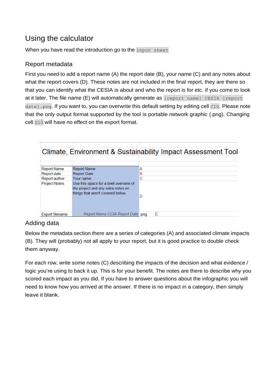# Using the calculator

When you have read the introduction go to the input sheet

### Report metadata

First you need to add a report name (A) the report date (B), your name (C) and any notes about what the report covers (D). These notes are not included in the final report, they are there so that you can identify what the CESIA is about and who the report is for etc. if you come to look at it later. The file name (E) will automatically generate as [report name] CESIA [report] date].png. If you want to, you can overwrite this default setting by editing cell c10. Please note that the only output format supported by the tool is portable network graphic (.png). Changing cell D10 will have no effect on the export format.

|                        |                                                                                                                   | Climate, Environment & Sustainability Impact Assessment Tool |
|------------------------|-------------------------------------------------------------------------------------------------------------------|--------------------------------------------------------------|
|                        |                                                                                                                   |                                                              |
| <b>Report Name</b>     | <b>Report Name</b>                                                                                                | А                                                            |
| Report date            | <b>Report Date</b>                                                                                                | В                                                            |
| Report author          | Your name                                                                                                         | C                                                            |
| <b>Project Notes</b>   | Use this space for a brief overview of<br>the project and any extra notes on<br>things that aren't covered below. | D                                                            |
| <b>Export filename</b> | Report Name CCIA Report Date .png                                                                                 | E                                                            |

## Adding data

Below the metadata section there are a series of categories (A) and associated climate impacts (B). They will (probably) not all apply to your report, but it is good practice to double check them anyway.

For each row, write some notes (C) describing the impacts of the decision and what evidence / logic you're using to back it up. This is for your benefit. The notes are there to describe why you scored each impact as you did. If you have to answer questions about the infographic you will need to know how you arrived at the answer. If there is no impact in a category, then simply leave it blank.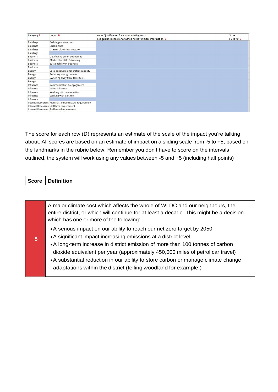| <b>Category A</b> | Impact B                                                                                                                                                                                                                       | Notes / justification for score / existing work               | Score          |
|-------------------|--------------------------------------------------------------------------------------------------------------------------------------------------------------------------------------------------------------------------------|---------------------------------------------------------------|----------------|
|                   |                                                                                                                                                                                                                                | (see guidance sheet or attached notes for more information) C | $(-5 to +5) D$ |
| <b>Buildings</b>  | <b>Building construction</b>                                                                                                                                                                                                   |                                                               |                |
| <b>Buildings</b>  | <b>Building use</b>                                                                                                                                                                                                            |                                                               |                |
| <b>Buildings</b>  | Green / blue infrastructure                                                                                                                                                                                                    |                                                               |                |
| <b>Buildings</b>  |                                                                                                                                                                                                                                |                                                               |                |
| <b>Business</b>   | Developing green businesses                                                                                                                                                                                                    |                                                               |                |
| <b>Business</b>   | Marketable skills & training                                                                                                                                                                                                   |                                                               |                |
| <b>Business</b>   | Sustainability in business                                                                                                                                                                                                     |                                                               |                |
| <b>Business</b>   |                                                                                                                                                                                                                                |                                                               |                |
| Energy            | Local renewable generation capacity                                                                                                                                                                                            |                                                               |                |
| Energy            | Reducing energy demand                                                                                                                                                                                                         |                                                               |                |
| Energy            | Switching away from fossil fuels                                                                                                                                                                                               |                                                               |                |
| Energy            |                                                                                                                                                                                                                                |                                                               |                |
| Influence         | Communication & engagement                                                                                                                                                                                                     |                                                               |                |
| Influence         | Wider influence                                                                                                                                                                                                                |                                                               |                |
| Influence         | Working with communities                                                                                                                                                                                                       |                                                               |                |
| Influence         | Working with partners                                                                                                                                                                                                          |                                                               |                |
| Influence         |                                                                                                                                                                                                                                |                                                               |                |
|                   | Internal Resources Material / infrastructure requirement                                                                                                                                                                       |                                                               |                |
|                   | Internal Resources Staff time requirement                                                                                                                                                                                      |                                                               |                |
|                   | Internal Resources Staff travel requirement                                                                                                                                                                                    |                                                               |                |
|                   | The committee of the Committee of the Committee of the Committee of the Committee of the Committee of the Committee of the Committee of the Committee of the Committee of the Committee of the Committee of the Committee of t |                                                               |                |

The score for each row (D) represents an estimate of the scale of the impact you're talking about. All scores are based on an estimate of impact on a sliding scale from -5 to +5, based on the landmarks in the rubric below. Remember you don't have to score on the intervals outlined, the system will work using any values between -5 and +5 (including half points)

| Score   Definition |
|--------------------|
|                    |
|                    |

| A major climate cost which affects the whole of WLDC and our neighbours, the |                                                                                         |  |
|------------------------------------------------------------------------------|-----------------------------------------------------------------------------------------|--|
|                                                                              | entire district, or which will continue for at least a decade. This might be a decision |  |
| which has one or more of the following:                                      |                                                                                         |  |
|                                                                              | • A serious impact on our ability to reach our net zero target by 2050                  |  |
| $\overline{5}$                                                               | • A significant impact increasing emissions at a district level                         |  |
|                                                                              | • A long-term increase in district emission of more than 100 tonnes of carbon           |  |

- dioxide equivalent per year (approximately 450,000 miles of petrol car travel) A substantial reduction in our ability to store carbon or manage climate change
	- adaptations within the district (felling woodland for example.)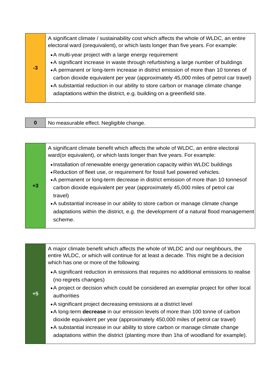|      | A significant climate / sustainability cost which affects the whole of WLDC, an entire<br>electoral ward (orequivalent), or which lasts longer than five years. For example:                                                                                                                                                                                                                                                                                                            |
|------|-----------------------------------------------------------------------------------------------------------------------------------------------------------------------------------------------------------------------------------------------------------------------------------------------------------------------------------------------------------------------------------------------------------------------------------------------------------------------------------------|
| $-3$ | • A multi-year project with a large energy requirement<br>• A significant increase in waste through refurbishing a large number of buildings<br>• A permanent or long-term increase in district emission of more than 10 tonnes of<br>carbon dioxide equivalent per year (approximately 45,000 miles of petrol car travel)<br>• A substantial reduction in our ability to store carbon or manage climate change<br>adaptations within the district, e.g. building on a greenfield site. |

**0** | No measurable effect. Negligible change.

A significant climate benefit which affects the whole of WLDC, an entire electoral ward(or equivalent), or which lasts longer than five years. For example:

- Installation of renewable energy generation capacity within WLDC buildings
- Reduction of fleet use, or requirement for fossil fuel powered vehicles.
- **+3** A permanent or long-term decrease in district emission of more than 10 tonnesof carbon dioxide equivalent per year (approximately 45,000 miles of petrol car travel)
	- A substantial increase in our ability to store carbon or manage climate change adaptations within the district, e.g. the development of a natural flood management scheme.

A major climate benefit which affects the whole of WLDC and our neighbours, the entire WLDC, or which will continue for at least a decade. This might be a decision which has one or more of the following:

- A significant reduction in emissions that requires no additional emissions to realise (no regrets changes)
- A project or decision which could be considered an exemplar project for other local authorities
- A significant project decreasing emissions at a district level
- A long-term **decrease** in our emission levels of more than 100 tonne of carbon dioxide equivalent per year (approximately 450,000 miles of petrol car travel)
- A substantial increase in our ability to store carbon or manage climate change adaptations within the district (planting more than 1ha of woodland for example).

**+5**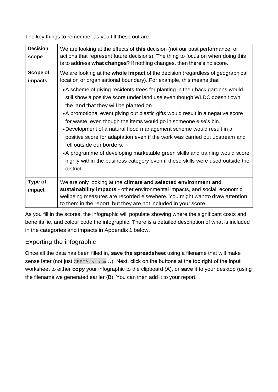The key things to remember as you fill these out are:

| <b>Decision</b><br>scope | We are looking at the effects of this decision (not our past performance, or<br>actions that represent future decisions). The thing to focus on when doing this<br>is to address what changes? If nothing changes, then there's no score.                                                                                                                                                                                                                                                                                                                                                                                                                                                                                                                                                                                                                                            |
|--------------------------|--------------------------------------------------------------------------------------------------------------------------------------------------------------------------------------------------------------------------------------------------------------------------------------------------------------------------------------------------------------------------------------------------------------------------------------------------------------------------------------------------------------------------------------------------------------------------------------------------------------------------------------------------------------------------------------------------------------------------------------------------------------------------------------------------------------------------------------------------------------------------------------|
| Scope of<br>impacts      | We are looking at the whole impact of the decision (regardless of geographical<br>location or organisational boundary). For example, this means that<br>• A scheme of giving residents trees for planting in their back gardens would<br>still show a positive score under land use even though WLDC doesn't own<br>the land that they will be planted on.<br>• A promotional event giving out plastic gifts would result in a negative score<br>for waste, even though the items would go in someone else's bin.<br>• Development of a natural flood management scheme would result in a<br>positive score for adaptation even if the work was carried out upstream and<br>fell outside our borders.<br>• A programme of developing marketable green skills and training would score<br>highly within the business category even if these skills were used outside the<br>district. |
| Type of<br>impact        | We are only looking at the climate and selected environment and<br>sustainability impacts - other environmental impacts, and social, economic,<br>wellbeing measures are recorded elsewhere. You might wantto draw attention<br>to them in the report, but they are not included in your score.                                                                                                                                                                                                                                                                                                                                                                                                                                                                                                                                                                                      |

As you fill in the scores, the infographic will populate showing where the significant costs and benefits lie, and colour code the infographic. There is a detailed description of what is included in the categories and impacts in Appendix 1 below.

### Exporting the infographic

Once all the data has been filled in, **save the spreadsheet** using a filename that will make sense later (not just CESIA.xlsxm...). Next, click on the buttons at the top right of the input worksheet to either **copy** your infographic to the clipboard (A), or **save** it to your desktop (using the filename we generated earlier (B). You can then add it to your report.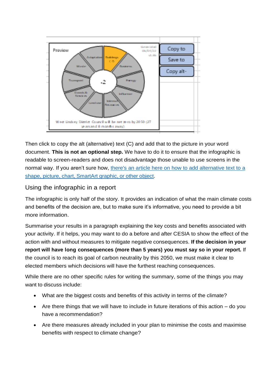

Then click to copy the alt (alternative) text (C) and add that to the picture in your word document. **This is not an optional step.** We have to do it to ensure that the infographic is readable to screen-readers and does not disadvantage those unable to use screens in the normal way. If you aren't sure how, there's an article here on how to add [alternative text](https://support.microsoft.com/en-us/office/add-alternative-text-to-a-shape-picture-chart-smartart-graphic-or-other-object-44989b2a-903c-4d9a-b742-6a75b451c669) to a shape, picture, chart, [SmartArt](https://support.microsoft.com/en-us/office/add-alternative-text-to-a-shape-picture-chart-smartart-graphic-or-other-object-44989b2a-903c-4d9a-b742-6a75b451c669) graphic, or other object.

Using the infographic in a report

The infographic is only half of the story. It provides an indication of what the main climate costs and benefits of the decision are, but to make sure it's informative, you need to provide a bit more information.

Summarise your results in a paragraph explaining the key costs and benefits associated with your activity. If it helps, you may want to do a before and after CESIA to show the effect of the action with and without measures to mitigate negative consequences. **If the decision in your report will have long consequences (more than 5 years) you must say so in your report.** If the council is to reach its goal of carbon neutrality by this 2050, we must make it clear to elected members which decisions will have the furthest reaching consequences.

While there are no other specific rules for writing the summary, some of the things you may want to discuss include:

- What are the biggest costs and benefits of this activity in terms of the climate?
- Are there things that we will have to include in future iterations of this action do you have a recommendation?
- Are there measures already included in your plan to minimise the costs and maximise benefits with respect to climate change?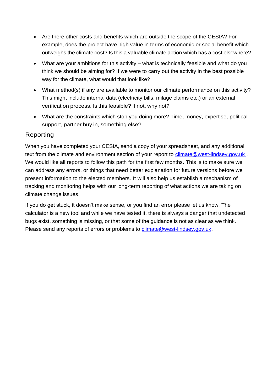- Are there other costs and benefits which are outside the scope of the CESIA? For example, does the project have high value in terms of economic or social benefit which outweighs the climate cost? Is this a valuable climate action which has a cost elsewhere?
- What are your ambitions for this activity what is technically feasible and what do you think we should be aiming for? If we were to carry out the activity in the best possible way for the climate, what would that look like?
- What method(s) if any are available to monitor our climate performance on this activity? This might include internal data (electricity bills, milage claims etc.) or an external verification process. Is this feasible? If not, why not?
- What are the constraints which stop you doing more? Time, money, expertise, political support, partner buy in, something else?

### Reporting

When you have completed your CESIA, send a copy of your spreadsheet, and any additional text from the climate and environment section of your report to climate@west-lindsey.gov.uk. We would like all reports to follow this path for the first few months. This is to make sure we can address any errors, or things that need better explanation for future versions before we present information to the elected members. It will also help us establish a mechanism of tracking and monitoring helps with our long-term reporting of what actions we are taking on climate change issues.

If you do get stuck, it doesn't make sense, or you find an error please let us know. The calculator is a new tool and while we have tested it, there is always a danger that undetected bugs exist, something is missing, or that some of the guidance is not as clear as we think. Please send any reports of errors or problems to [climate@west-lindsey.gov.uk.](mailto:climate@west-lindsey.gov.uk)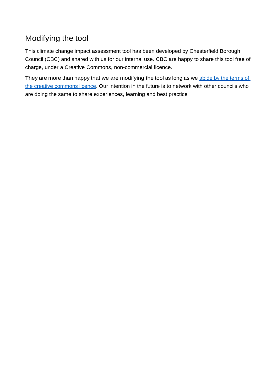# Modifying the tool

This climate change impact assessment tool has been developed by Chesterfield Borough Council (CBC) and shared with us for our internal use. CBC are happy to share this tool free of charge, under a Creative Commons, non-commercial licence.

They are more than happy that we are modifying the tool as long as we [abide](https://creativecommons.org/licenses/by/4.0/) by the terms of the creative [commons](https://creativecommons.org/licenses/by/4.0/) licence. Our intention in the future is to network with other councils who are doing the same to share experiences, learning and best practice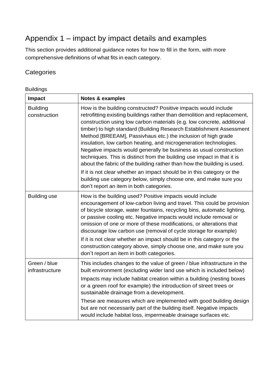# Appendix 1 – impact by impact details and examples

This section provides additional guidance notes for how to fill in the form, with more comprehensive definitions of what fits in each category.

### **Categories**

Buildings

| <b>Impact</b>                   | <b>Notes &amp; examples</b>                                                                                                                                                                                                                                                                                                                                                                                                                                                                                                                                                                                                                                                                                                                                                                                                                              |
|---------------------------------|----------------------------------------------------------------------------------------------------------------------------------------------------------------------------------------------------------------------------------------------------------------------------------------------------------------------------------------------------------------------------------------------------------------------------------------------------------------------------------------------------------------------------------------------------------------------------------------------------------------------------------------------------------------------------------------------------------------------------------------------------------------------------------------------------------------------------------------------------------|
| <b>Building</b><br>construction | How is the building constructed? Positive impacts would include<br>retrofitting existing buildings rather than demolition and replacement,<br>construction using low carbon materials (e.g. low concrete, additional<br>timber) to high standard (Building Research Establishment Assessment<br>Method [BREEAM], Passivhaus etc.) the inclusion of high grade<br>insulation, low carbon heating, and microgeneration technologies.<br>Negative impacts would generally be business as usual construction<br>techniques. This is distinct from the building use impact in that it is<br>about the fabric of the building rather than how the building is used.<br>If it is not clear whether an impact should be in this category or the<br>building use category below, simply choose one, and make sure you<br>don't report an item in both categories. |
| <b>Building use</b>             | How is the building used? Positive impacts would include<br>encouragement of low-carbon living and travel. This could be provision<br>of bicycle storage, water fountains, recycling bins, automatic lighting,<br>or passive cooling etc. Negative impacts would include removal or<br>omission of one or more of these modifications, or alterations that<br>discourage low carbon use (removal of cycle storage for example)<br>If it is not clear whether an impact should be in this category or the<br>construction category above, simply choose one, and make sure you<br>don't report an item in both categories.                                                                                                                                                                                                                                |
| Green / blue<br>infrastructure  | This includes changes to the value of green / blue infrastructure in the<br>built environment (excluding wider land use which is included below)<br>Impacts may include habitat creation within a building (nesting boxes<br>or a green roof for example) the introduction of street trees or<br>sustainable drainage from a development.<br>These are measures which are implemented with good building design<br>but are not necessarily part of the building itself. Negative impacts<br>would include habitat loss, impermeable drainage surfaces etc.                                                                                                                                                                                                                                                                                               |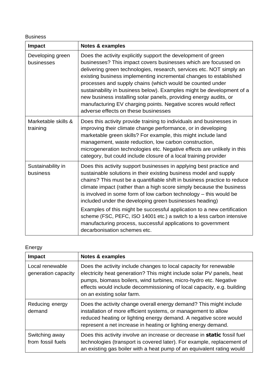Business

| Impact                          | <b>Notes &amp; examples</b>                                                                                                                                                                                                                                                                                                                                                                                                                                                                                                                                                                        |
|---------------------------------|----------------------------------------------------------------------------------------------------------------------------------------------------------------------------------------------------------------------------------------------------------------------------------------------------------------------------------------------------------------------------------------------------------------------------------------------------------------------------------------------------------------------------------------------------------------------------------------------------|
| Developing green<br>businesses  | Does the activity explicitly support the development of green<br>businesses? This impact covers businesses which are focussed on<br>delivering green technologies, research, services etc. NOT simply an<br>existing business implementing incremental changes to established<br>processes and supply chains (which would be counted under<br>sustainability in business below). Examples might be development of a<br>new business installing solar panels, providing energy audits, or<br>manufacturing EV charging points. Negative scores would reflect<br>adverse effects on these businesses |
| Marketable skills &<br>training | Does this activity provide training to individuals and businesses in<br>improving their climate change performance, or in developing<br>marketable green skills? For example, this might include land<br>management, waste reduction, low carbon construction,<br>microgeneration technologies etc. Negative effects are unlikely in this<br>category, but could include closure of a local training provider                                                                                                                                                                                      |
| Sustainability in<br>business   | Does this activity support businesses in applying best practice and<br>sustainable solutions in their existing business model and supply<br>chains? This must be a quantifiable shift in business practice to reduce<br>climate impact (rather than a high score simply because the business<br>is involved in some form of low carbon technology - this would be<br>included under the developing green businesses heading)<br>Examples of this might be successful application to a new certification                                                                                            |
|                                 | scheme (FSC, PEFC, ISO 14001 etc.) a switch to a less carbon intensive<br>manufacturing process, successful applications to government<br>decarbonisation schemes etc.                                                                                                                                                                                                                                                                                                                                                                                                                             |

### Energy

| Impact                                 | <b>Notes &amp; examples</b>                                                                                                                                                                                                                                                                                            |
|----------------------------------------|------------------------------------------------------------------------------------------------------------------------------------------------------------------------------------------------------------------------------------------------------------------------------------------------------------------------|
| Local renewable<br>generation capacity | Does the activity include changes to local capacity for renewable<br>electricity heat generation? This might include solar PV panels, heat<br>pumps, biomass boilers, wind turbines, micro-hydro etc. Negative<br>effects would include decommissioning of local capacity, e.g. building<br>on an existing solar farm. |
| Reducing energy<br>demand              | Does the activity change overall energy demand? This might include<br>installation of more efficient systems, or management to allow<br>reduced heating or lighting energy demand. A negative score would<br>represent a net increase in heating or lighting energy demand.                                            |
| Switching away<br>from fossil fuels    | Does this activity involve an increase or decrease in static fossil fuel<br>technologies (transport is covered later). For example, replacement of<br>an existing gas boiler with a heat pump of an equivalent rating would                                                                                            |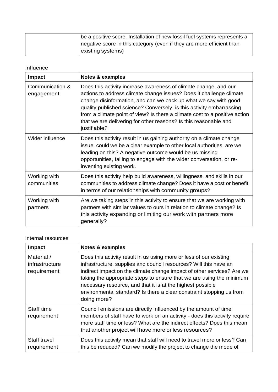|  | be a positive score. Installation of new fossil fuel systems represents a |
|--|---------------------------------------------------------------------------|
|  | negative score in this category (even if they are more efficient than     |
|  | existing systems)                                                         |

#### Influence

| <b>Impact</b>                 | Notes & examples                                                                                                                                                                                                                                                                                                                                                                                                                                     |
|-------------------------------|------------------------------------------------------------------------------------------------------------------------------------------------------------------------------------------------------------------------------------------------------------------------------------------------------------------------------------------------------------------------------------------------------------------------------------------------------|
| Communication &<br>engagement | Does this activity increase awareness of climate change, and our<br>actions to address climate change issues? Does it challenge climate<br>change disinformation, and can we back up what we say with good<br>quality published science? Conversely, is this activity embarrassing<br>from a climate point of view? Is there a climate cost to a positive action<br>that we are delivering for other reasons? Is this reasonable and<br>justifiable? |
| Wider influence               | Does this activity result in us gaining authority on a climate change<br>issue, could we be a clear example to other local authorities, are we<br>leading on this? A negative outcome would be us missing<br>opportunities, failing to engage with the wider conversation, or re-<br>inventing existing work.                                                                                                                                        |
| Working with<br>communities   | Does this activity help build awareness, willingness, and skills in our<br>communities to address climate change? Does it have a cost or benefit<br>in terms of our relationships with community groups?                                                                                                                                                                                                                                             |
| Working with<br>partners      | Are we taking steps in this activity to ensure that we are working with<br>partners with similar values to ours in relation to climate change? Is<br>this activity expanding or limiting our work with partners more<br>generally?                                                                                                                                                                                                                   |

#### Internal resources

| <b>Impact</b>                               | <b>Notes &amp; examples</b>                                                                                                                                                                                                                                                                                                                                                                                                                    |
|---------------------------------------------|------------------------------------------------------------------------------------------------------------------------------------------------------------------------------------------------------------------------------------------------------------------------------------------------------------------------------------------------------------------------------------------------------------------------------------------------|
| Material /<br>infrastructure<br>requirement | Does this activity result in us using more or less of our existing<br>infrastructure, supplies and council resources? Will this have an<br>indirect impact on the climate change impact of other services? Are we<br>taking the appropriate steps to ensure that we are using the minimum<br>necessary resource, and that it is at the highest possible<br>environmental standard? Is there a clear constraint stopping us from<br>doing more? |
| Staff time<br>requirement                   | Council emissions are directly influenced by the amount of time<br>members of staff have to work on an activity - does this activity require<br>more staff time or less? What are the indirect effects? Does this mean<br>that another project will have more or less resources?                                                                                                                                                               |
| Staff travel<br>requirement                 | Does this activity mean that staff will need to travel more or less? Can<br>this be reduced? Can we modify the project to change the mode of                                                                                                                                                                                                                                                                                                   |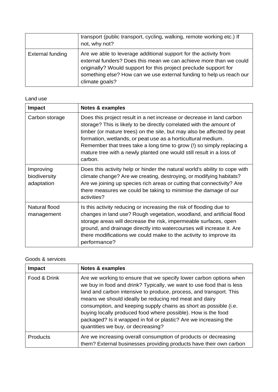|                         | transport (public transport, cycling, walking, remote working etc.) If<br>not, why not?                                                                                                                                                                                                             |
|-------------------------|-----------------------------------------------------------------------------------------------------------------------------------------------------------------------------------------------------------------------------------------------------------------------------------------------------|
| <b>External funding</b> | Are we able to leverage additional support for the activity from<br>external funders? Does this mean we can achieve more than we could<br>originally? Would support for this project preclude support for<br>something else? How can we use external funding to help us reach our<br>climate goals? |

#### Land use

| <b>Impact</b>                           | Notes & examples                                                                                                                                                                                                                                                                                                                                                                                                                                    |
|-----------------------------------------|-----------------------------------------------------------------------------------------------------------------------------------------------------------------------------------------------------------------------------------------------------------------------------------------------------------------------------------------------------------------------------------------------------------------------------------------------------|
| Carbon storage                          | Does this project result in a net increase or decrease in land carbon<br>storage? This is likely to be directly correlated with the amount of<br>timber (or mature trees) on the site, but may also be affected by peat<br>formation, wetlands, or peat use as a horticultural medium.<br>Remember that trees take a long time to grow (!) so simply replacing a<br>mature tree with a newly planted one would still result in a loss of<br>carbon. |
| Improving<br>biodiversity<br>adaptation | Does this activity help or hinder the natural world's ability to cope with<br>climate change? Are we creating, destroying, or modifying habitats?<br>Are we joining up species rich areas or cutting that connectivity? Are<br>there measures we could be taking to minimise the damage of our<br>activities?                                                                                                                                       |
| Natural flood<br>management             | Is this activity reducing or increasing the risk of flooding due to<br>changes in land use? Rough vegetation, woodland, and artificial flood<br>storage areas will decrease the risk, impermeable surfaces, open<br>ground, and drainage directly into watercourses will increase it. Are<br>there modifications we could make to the activity to improve its<br>performance?                                                                       |

#### Goods & services

| <b>Impact</b>   | Notes & examples                                                                                                                                                                                                                                                                                                                                                                                                                                                                                                            |
|-----------------|-----------------------------------------------------------------------------------------------------------------------------------------------------------------------------------------------------------------------------------------------------------------------------------------------------------------------------------------------------------------------------------------------------------------------------------------------------------------------------------------------------------------------------|
| Food & Drink    | Are we working to ensure that we specify lower carbon options when<br>we buy in food and drink? Typically, we want to use food that is less<br>land and carbon intensive to produce, process, and transport. This<br>means we should ideally be reducing red meat and dairy<br>consumption, and keeping supply chains as short as possible (i.e.<br>buying locally produced food where possible). How is the food<br>packaged? Is it wrapped in foil or plastic? Are we increasing the<br>quantities we buy, or decreasing? |
| <b>Products</b> | Are we increasing overall consumption of products or decreasing<br>them? External businesses providing products have their own carbon                                                                                                                                                                                                                                                                                                                                                                                       |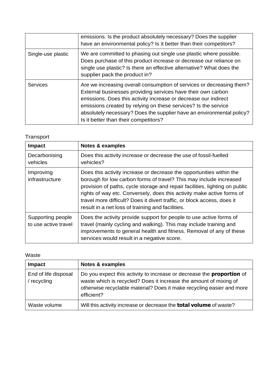|                    | emissions. Is the product absolutely necessary? Does the supplier<br>have an environmental policy? Is it better than their competitors?                                                                                                                                                                                                                                                     |
|--------------------|---------------------------------------------------------------------------------------------------------------------------------------------------------------------------------------------------------------------------------------------------------------------------------------------------------------------------------------------------------------------------------------------|
| Single-use plastic | We are committed to phasing out single use plastic where possible.<br>Does purchase of this product increase or decrease our reliance on<br>single use plastic? Is there an effective alternative? What does the<br>supplier pack the product in?                                                                                                                                           |
| <b>Services</b>    | Are we increasing overall consumption of services or decreasing them?<br>External businesses providing services have their own carbon<br>emissions. Does this activity increase or decrease our indirect<br>emissions created by relying on these services? Is the service<br>absolutely necessary? Does the supplier have an environmental policy?<br>Is it better than their competitors? |

### Transport

| <b>Impact</b>                             | Notes & examples                                                                                                                                                                                                                                                                                                                                                                                                                   |
|-------------------------------------------|------------------------------------------------------------------------------------------------------------------------------------------------------------------------------------------------------------------------------------------------------------------------------------------------------------------------------------------------------------------------------------------------------------------------------------|
| Decarbonising<br>vehicles                 | Does this activity increase or decrease the use of fossil-fuelled<br>vehicles?                                                                                                                                                                                                                                                                                                                                                     |
| Improving<br>infrastructure               | Does this activity increase or decrease the opportunities within the<br>borough for low carbon forms of travel? This may include increased<br>provision of paths, cycle storage and repair facilities, lighting on public<br>rights of way etc. Conversely, does this activity make active forms of<br>travel more difficult? Does it divert traffic, or block access, does it<br>result in a net loss of training and facilities. |
| Supporting people<br>to use active travel | Does the activity provide support for people to use active forms of<br>travel (mainly cycling and walking). This may include training and<br>improvements to general health and fitness. Removal of any of these<br>services would result in a negative score.                                                                                                                                                                     |

### Waste

| <b>Impact</b>                       | Notes & examples                                                                                                                                                                                                                         |
|-------------------------------------|------------------------------------------------------------------------------------------------------------------------------------------------------------------------------------------------------------------------------------------|
| End of life disposal<br>/ recycling | Do you expect this activity to increase or decrease the <b>proportion</b> of<br>waste which is recycled? Does it increase the amount of mixing of<br>otherwise recyclable material? Does it make recycling easier and more<br>efficient? |
| Waste volume                        | Will this activity increase or decrease the <b>total volume</b> of waste?                                                                                                                                                                |